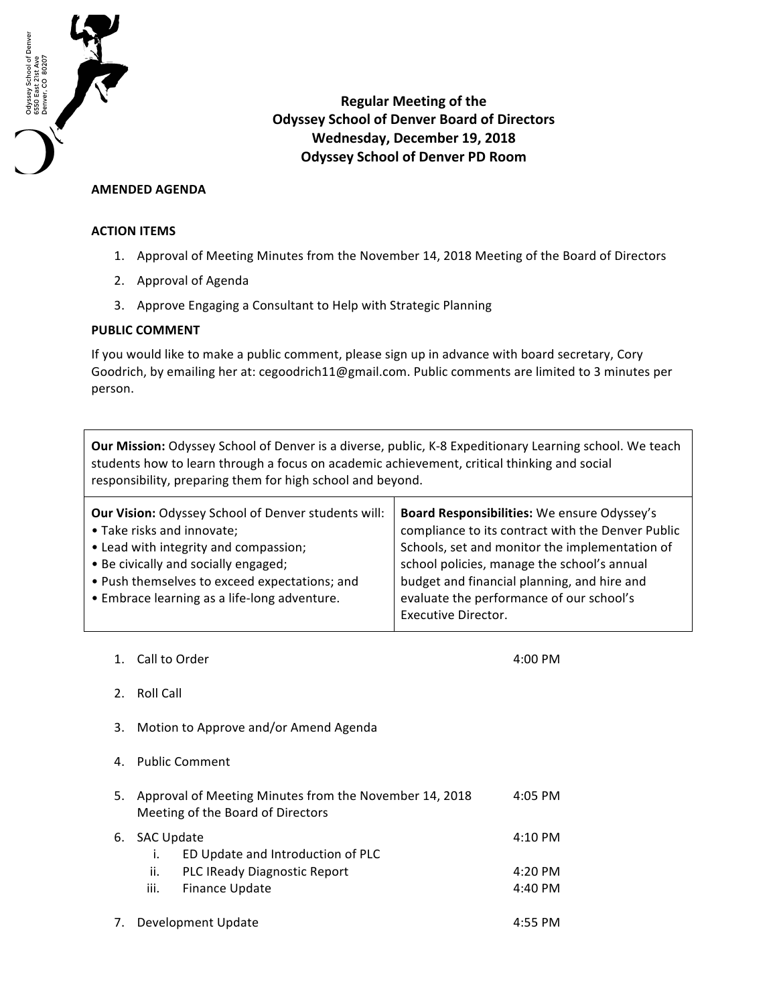

**Regular Meeting of the Odyssey School of Denver Board of Directors Wednesday, December 19, 2018 Odyssey School of Denver PD Room**

## **AMENDED AGENDA**

## **ACTION ITEMS**

- 1. Approval of Meeting Minutes from the November 14, 2018 Meeting of the Board of Directors
- 2. Approval of Agenda
- 3. Approve Engaging a Consultant to Help with Strategic Planning

## **PUBLIC COMMENT**

If you would like to make a public comment, please sign up in advance with board secretary, Cory Goodrich, by emailing her at: cegoodrich11@gmail.com. Public comments are limited to 3 minutes per person.

Our Mission: Odyssey School of Denver is a diverse, public, K-8 Expeditionary Learning school. We teach students how to learn through a focus on academic achievement, critical thinking and social responsibility, preparing them for high school and beyond.

| <b>Our Vision: Odyssey School of Denver students will:</b> | Board Responsibilities: We ensure Odyssey's       |  |
|------------------------------------------------------------|---------------------------------------------------|--|
| • Take risks and innovate;                                 | compliance to its contract with the Denver Public |  |
| • Lead with integrity and compassion;                      | Schools, set and monitor the implementation of    |  |
| • Be civically and socially engaged;                       | school policies, manage the school's annual       |  |
| • Push themselves to exceed expectations; and              | budget and financial planning, and hire and       |  |
| • Embrace learning as a life-long adventure.               | evaluate the performance of our school's          |  |
|                                                            | Executive Director.                               |  |

1. Call to Order 4:00 PM

- 2. Roll Call
- 3. Motion to Approve and/or Amend Agenda
- 4. Public Comment

| 5. |               | Approval of Meeting Minutes from the November 14, 2018<br>Meeting of the Board of Directors | $4:05$ PM         |
|----|---------------|---------------------------------------------------------------------------------------------|-------------------|
|    | 6. SAC Update | ED Update and Introduction of PLC                                                           | $4:10 \text{ PM}$ |
|    | ii.           | PLC IReady Diagnostic Report                                                                | $4:20$ PM         |
|    | iii.          | <b>Finance Update</b>                                                                       | $4:40$ PM         |
|    |               |                                                                                             |                   |

7. Development Update 4:55 PM